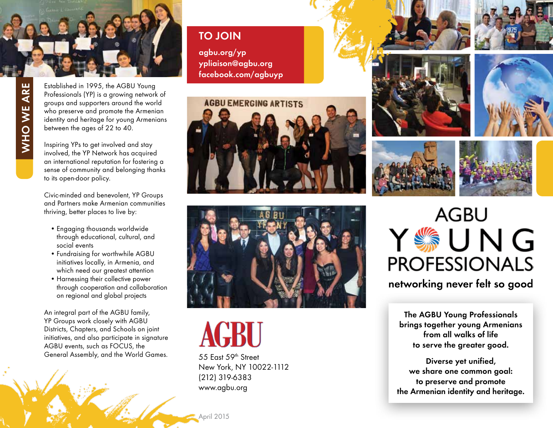

WHO WE ARE  **Who We Are**

Established in 1995, the AGBU Young Professionals (YP) is a growing network of groups and supporters around the world who preserve and promote the Armenian identity and heritage for young Armenians between the ages of 22 to 40.

Inspiring YPs to get involved and stay involved, the YP Network has acquired an international reputation for fostering a sense of community and belonging thanks to its open-door policy.

Civic-minded and benevolent, YP Groups and Partners make Armenian communities thriving, better places to live by:

- Engaging thousands worldwide through educational, cultural, and social events
- Fundraising for worthwhile AGBU initiatives locally, in Armenia, and which need our greatest attention
- Harnessing their collective power through cooperation and collaboration on regional and global projects

An integral part of the AGBU family, YP Groups work closely with AGBU Districts, Chapters, and Schools on joint initiatives, and also participate in signature AGBU events, such as FOCUS, the General Assembly, and the World Games.

 **T O J OIN**

 **agbu.org/yp ypliaison@agbu.org facebook.com/agbuyp**





**GBU** 

55 East 59th Street New York, NY 10022-1112 (212) 319-6383 www.agbu.org











**networking never felt so good**

**The AGBU Young Professionals brings together young Armenians from all walks of life to serve the greater good.**

**Diverse yet unified, we share one common goal: to preserve and promote the Armenian identity and heritage.**